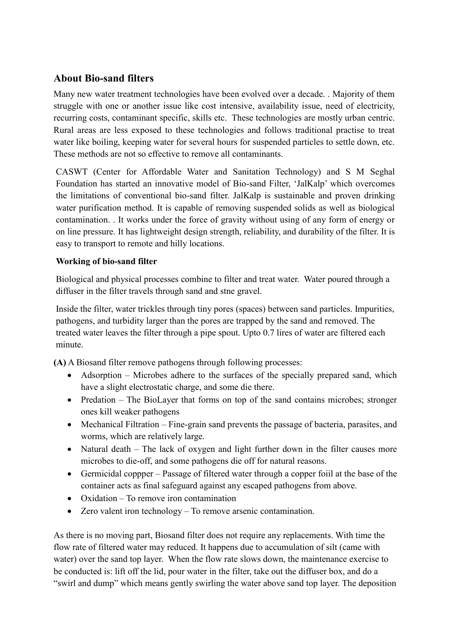## **About Bio-sand filters**

Many new water treatment technologies have been evolved over a decade. . Majority of them struggle with one or another issue like cost intensive, availability issue, need of electricity, recurring costs, contaminant specific, skills etc. These technologies are mostly urban centric. Rural areas are less exposed to these technologies and follows traditional practise to treat water like boiling, keeping water for several hours for suspended particles to settle down, etc. These methods are not so effective to remove all contaminants.

CASWT (Center for Affordable Water and Sanitation Technology) and S M Seghal Foundation has started an innovative model of Bio-sand Filter, 'JalKalp' which overcomes the limitations of conventional bio-sand filter. JalKalp is sustainable and proven drinking water purification method. It is capable of removing suspended solids as well as biological contamination. . It works under the force of gravity without using of any form of energy or on line pressure. It has lightweight design strength, reliability, and durability of the filter. It is easy to transport to remote and hilly locations.

## **Working of bio-sand filter**

Biological and physical processes combine to filter and treat water. Water poured through a diffuser in the filter travels through sand and stne gravel.

Inside the filter, water trickles through tiny pores (spaces) between sand particles. Impurities, pathogens, and turbidity larger than the pores are trapped by the sand and removed. The treated water leaves the filter through a pipe spout. Upto 0.7 lires of water are filtered each minute.

**(A)** A Biosand filter remove pathogens through following processes:

- Adsorption Microbes adhere to the surfaces of the specially prepared sand, which have a slight electrostatic charge, and some die there.
- Predation The BioLayer that forms on top of the sand contains microbes; stronger ones kill weaker pathogens
- Mechanical Filtration Fine-grain sand prevents the passage of bacteria, parasites, and worms, which are relatively large.
- Natural death The lack of oxygen and light further down in the filter causes more microbes to die-off, and some pathogens die off for natural reasons.
- Germicidal coppper Passage of filtered water through a copper foiil at the base of the container acts as final safeguard against any escaped pathogens from above.
- Oxidation To remove iron contamination
- Zero valent iron technology To remove arsenic contamination.

As there is no moving part, Biosand filter does not require any replacements. With time the flow rate of filtered water may reduced. It happens due to accumulation of silt (came with water) over the sand top layer. When the flow rate slows down, the maintenance exercise to be conducted is: lift off the lid, pour water in the filter, take out the diffuser box, and do a "swirl and dump" which means gently swirling the water above sand top layer. The deposition